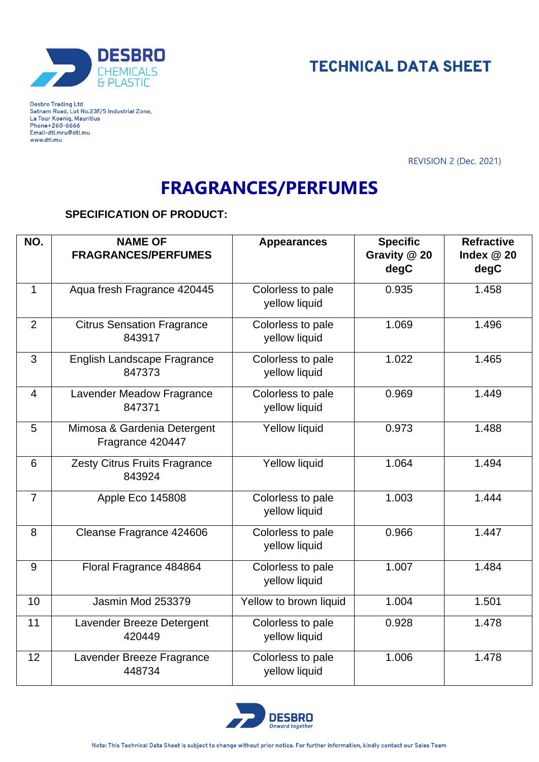



Desbro Trading Ltd<br>Satnam Road, Lot No.23F/5 Industrial Zone, La Tour Koenig, Mauritius<br>Phone+260-6666 Email-dtl.mru@dtl.mu www.dtl.mu

REVISION 2 (Dec. 2021)

## **FRAGRANCES/PERFUMES**

## **SPECIFICATION OF PRODUCT:**

| NO.            | <b>NAME OF</b><br><b>FRAGRANCES/PERFUMES</b>    | <b>Appearances</b>                 | <b>Specific</b><br>Gravity @ 20<br>degC | <b>Refractive</b><br>Index $@20$<br>degC |
|----------------|-------------------------------------------------|------------------------------------|-----------------------------------------|------------------------------------------|
| $\mathbf{1}$   | Aqua fresh Fragrance 420445                     | Colorless to pale<br>yellow liquid | 0.935                                   | 1.458                                    |
| 2              | <b>Citrus Sensation Fragrance</b><br>843917     | Colorless to pale<br>yellow liquid | 1.069                                   | 1.496                                    |
| 3              | <b>English Landscape Fragrance</b><br>847373    | Colorless to pale<br>yellow liquid | 1.022                                   | 1.465                                    |
| $\overline{4}$ | Lavender Meadow Fragrance<br>847371             | Colorless to pale<br>yellow liquid | 0.969                                   | 1.449                                    |
| 5              | Mimosa & Gardenia Detergent<br>Fragrance 420447 | <b>Yellow liquid</b>               | 0.973                                   | 1.488                                    |
| 6              | Zesty Citrus Fruits Fragrance<br>843924         | <b>Yellow liquid</b>               | 1.064                                   | 1.494                                    |
| $\overline{7}$ | Apple Eco 145808                                | Colorless to pale<br>yellow liquid | 1.003                                   | 1.444                                    |
| 8              | Cleanse Fragrance 424606                        | Colorless to pale<br>yellow liquid | 0.966                                   | 1.447                                    |
| 9              | Floral Fragrance 484864                         | Colorless to pale<br>yellow liquid | 1.007                                   | 1.484                                    |
| 10             | Jasmin Mod 253379                               | Yellow to brown liquid             | 1.004                                   | 1.501                                    |
| 11             | Lavender Breeze Detergent<br>420449             | Colorless to pale<br>yellow liquid | 0.928                                   | 1.478                                    |
| 12             | Lavender Breeze Fragrance<br>448734             | Colorless to pale<br>yellow liquid | 1.006                                   | 1.478                                    |